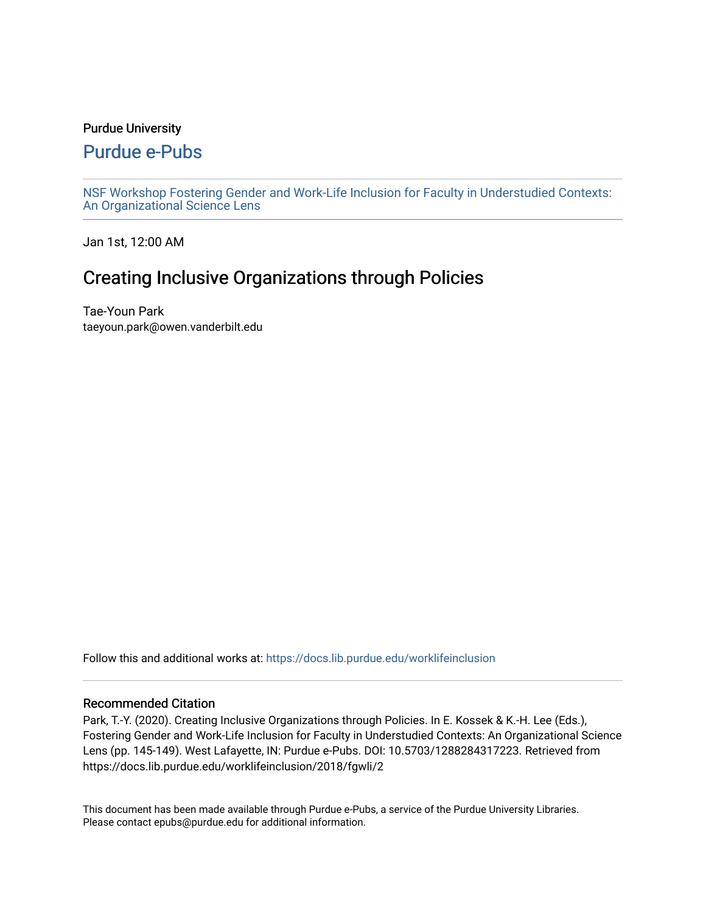## Purdue University

# [Purdue e-Pubs](https://docs.lib.purdue.edu/)

[NSF Workshop Fostering Gender and Work-Life Inclusion for Faculty in Understudied Contexts:](https://docs.lib.purdue.edu/worklifeinclusion)  [An Organizational Science Lens](https://docs.lib.purdue.edu/worklifeinclusion)

Jan 1st, 12:00 AM

# Creating Inclusive Organizations through Policies

Tae-Youn Park taeyoun.park@owen.vanderbilt.edu

Follow this and additional works at: [https://docs.lib.purdue.edu/worklifeinclusion](https://docs.lib.purdue.edu/worklifeinclusion?utm_source=docs.lib.purdue.edu%2Fworklifeinclusion%2F2018%2Ffgwli%2F2&utm_medium=PDF&utm_campaign=PDFCoverPages) 

## Recommended Citation

Park, T.-Y. (2020). Creating Inclusive Organizations through Policies. In E. Kossek & K.-H. Lee (Eds.), Fostering Gender and Work-Life Inclusion for Faculty in Understudied Contexts: An Organizational Science Lens (pp. 145-149). West Lafayette, IN: Purdue e-Pubs. DOI: 10.5703/1288284317223. Retrieved from https://docs.lib.purdue.edu/worklifeinclusion/2018/fgwli/2

This document has been made available through Purdue e-Pubs, a service of the Purdue University Libraries. Please contact epubs@purdue.edu for additional information.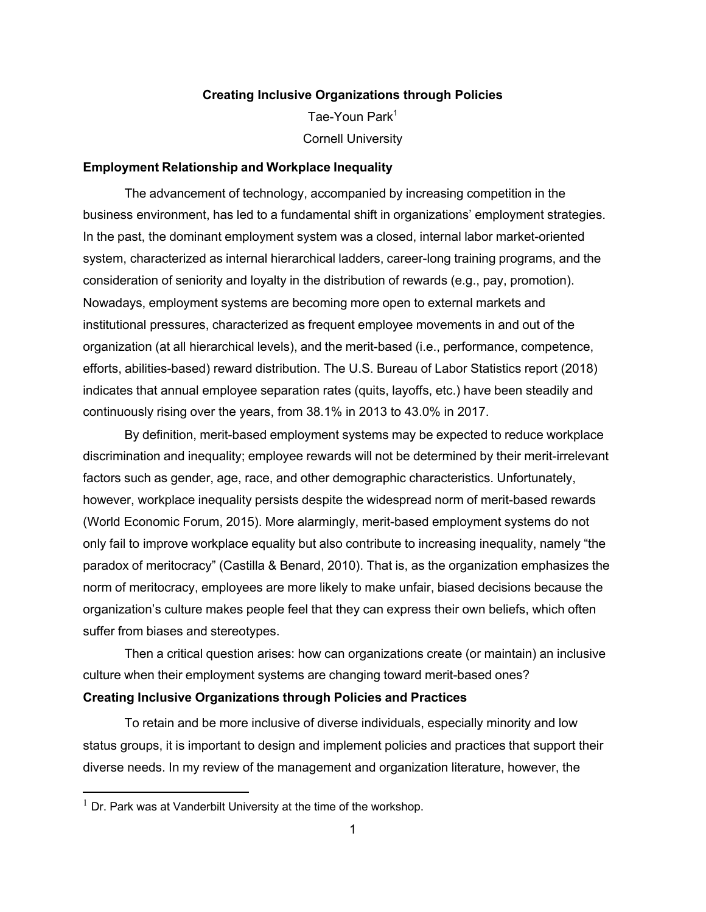### **Creating Inclusive Organizations through Policies**

Tae-Youn Park<sup>1</sup> Cornell University

#### **Employment Relationship and Workplace Inequality**

 The advancement of technology, accompanied by increasing competition in the business environment, has led to a fundamental shift in organizations' employment strategies. In the past, the dominant employment system was a closed, internal labor market-oriented system, characterized as internal hierarchical ladders, career-long training programs, and the consideration of seniority and loyalty in the distribution of rewards (e.g., pay, promotion). Nowadays, employment systems are becoming more open to external markets and institutional pressures, characterized as frequent employee movements in and out of the organization (at all hierarchical levels), and the merit-based (i.e., performance, competence, efforts, abilities-based) reward distribution. The U.S. Bureau of Labor Statistics report (2018) indicates that annual employee separation rates (quits, layoffs, etc.) have been steadily and continuously rising over the years, from 38.1% in 2013 to 43.0% in 2017.

 By definition, merit-based employment systems may be expected to reduce workplace discrimination and inequality; employee rewards will not be determined by their merit-irrelevant factors such as gender, age, race, and other demographic characteristics. Unfortunately, however, workplace inequality persists despite the widespread norm of merit-based rewards (World Economic Forum, 2015). More alarmingly, merit-based employment systems do not only fail to improve workplace equality but also contribute to increasing inequality, namely "the paradox of meritocracy" (Castilla & Benard, 2010). That is, as the organization emphasizes the norm of meritocracy, employees are more likely to make unfair, biased decisions because the organization's culture makes people feel that they can express their own beliefs, which often suffer from biases and stereotypes.

 Then a critical question arises: how can organizations create (or maintain) an inclusive culture when their employment systems are changing toward merit-based ones?

#### **Creating Inclusive Organizations through Policies and Practices**

 To retain and be more inclusive of diverse individuals, especially minority and low status groups, it is important to design and implement policies and practices that support their diverse needs. In my review of the management and organization literature, however, the

 $1$  Dr. Park was at Vanderbilt University at the time of the workshop.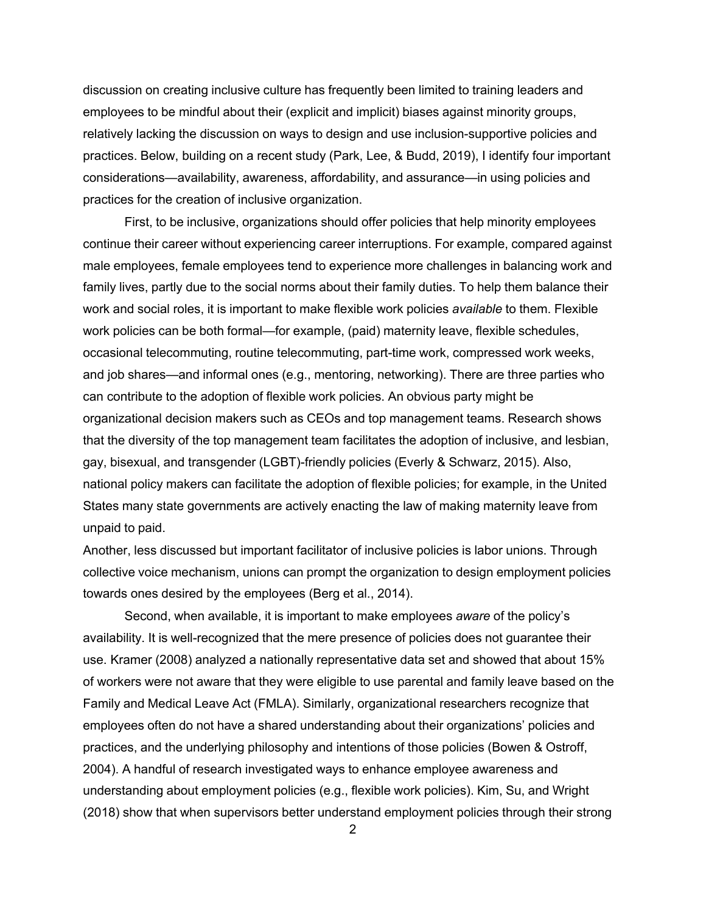discussion on creating inclusive culture has frequently been limited to training leaders and employees to be mindful about their (explicit and implicit) biases against minority groups, relatively lacking the discussion on ways to design and use inclusion-supportive policies and practices. Below, building on a recent study (Park, Lee, & Budd, 2019), I identify four important considerations—availability, awareness, affordability, and assurance—in using policies and practices for the creation of inclusive organization.

 First, to be inclusive, organizations should offer policies that help minority employees continue their career without experiencing career interruptions. For example, compared against male employees, female employees tend to experience more challenges in balancing work and family lives, partly due to the social norms about their family duties. To help them balance their work and social roles, it is important to make flexible work policies *available* to them. Flexible work policies can be both formal—for example, (paid) maternity leave, flexible schedules, occasional telecommuting, routine telecommuting, part-time work, compressed work weeks, and job shares—and informal ones (e.g., mentoring, networking). There are three parties who can contribute to the adoption of flexible work policies. An obvious party might be organizational decision makers such as CEOs and top management teams. Research shows that the diversity of the top management team facilitates the adoption of inclusive, and lesbian, gay, bisexual, and transgender (LGBT)-friendly policies (Everly & Schwarz, 2015). Also, national policy makers can facilitate the adoption of flexible policies; for example, in the United States many state governments are actively enacting the law of making maternity leave from unpaid to paid.

 Another, less discussed but important facilitator of inclusive policies is labor unions. Through collective voice mechanism, unions can prompt the organization to design employment policies towards ones desired by the employees (Berg et al., 2014).

 Second, when available, it is important to make employees *aware* of the policy's availability. It is well-recognized that the mere presence of policies does not guarantee their use. Kramer (2008) analyzed a nationally representative data set and showed that about 15% of workers were not aware that they were eligible to use parental and family leave based on the Family and Medical Leave Act (FMLA). Similarly, organizational researchers recognize that employees often do not have a shared understanding about their organizations' policies and practices, and the underlying philosophy and intentions of those policies (Bowen & Ostroff, 2004). A handful of research investigated ways to enhance employee awareness and understanding about employment policies (e.g., flexible work policies). Kim, Su, and Wright (2018) show that when supervisors better understand employment policies through their strong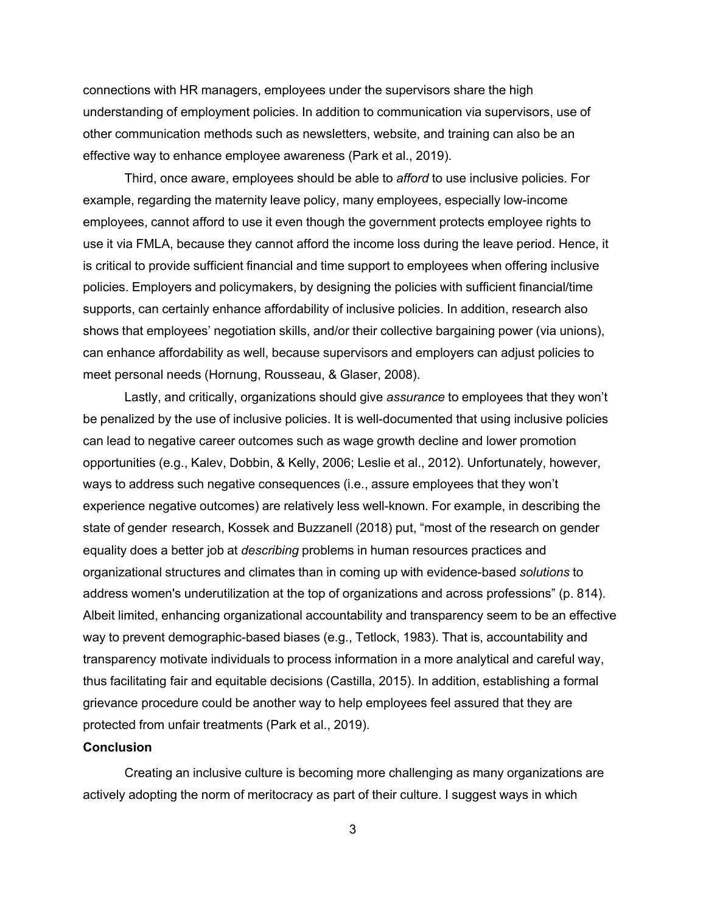connections with HR managers, employees under the supervisors share the high understanding of employment policies. In addition to communication via supervisors, use of other communication methods such as newsletters, website, and training can also be an effective way to enhance employee awareness (Park et al., 2019).

 Third, once aware, employees should be able to *afford* to use inclusive policies. For example, regarding the maternity leave policy, many employees, especially low-income employees, cannot afford to use it even though the government protects employee rights to use it via FMLA, because they cannot afford the income loss during the leave period. Hence, it is critical to provide sufficient financial and time support to employees when offering inclusive policies. Employers and policymakers, by designing the policies with sufficient financial/time supports, can certainly enhance affordability of inclusive policies. In addition, research also shows that employees' negotiation skills, and/or their collective bargaining power (via unions), can enhance affordability as well, because supervisors and employers can adjust policies to meet personal needs (Hornung, Rousseau, & Glaser, 2008).

 Lastly, and critically, organizations should give *assurance* to employees that they won't be penalized by the use of inclusive policies. It is well-documented that using inclusive policies can lead to negative career outcomes such as wage growth decline and lower promotion opportunities (e.g., Kalev, Dobbin, & Kelly, 2006; Leslie et al., 2012). Unfortunately, however, ways to address such negative consequences (i.e., assure employees that they won't experience negative outcomes) are relatively less well-known. For example, in describing the state of gender research, Kossek and Buzzanell (2018) put, "most of the research on gender equality does a better job at *describing* problems in human resources practices and organizational structures and climates than in coming up with evidence-based *solutions* to address women's underutilization at the top of organizations and across professions" (p. 814). Albeit limited, enhancing organizational accountability and transparency seem to be an effective way to prevent demographic-based biases (e.g., Tetlock, 1983). That is, accountability and transparency motivate individuals to process information in a more analytical and careful way, thus facilitating fair and equitable decisions (Castilla, 2015). In addition, establishing a formal grievance procedure could be another way to help employees feel assured that they are protected from unfair treatments (Park et al., 2019).

### **Conclusion**

 Creating an inclusive culture is becoming more challenging as many organizations are actively adopting the norm of meritocracy as part of their culture. I suggest ways in which

3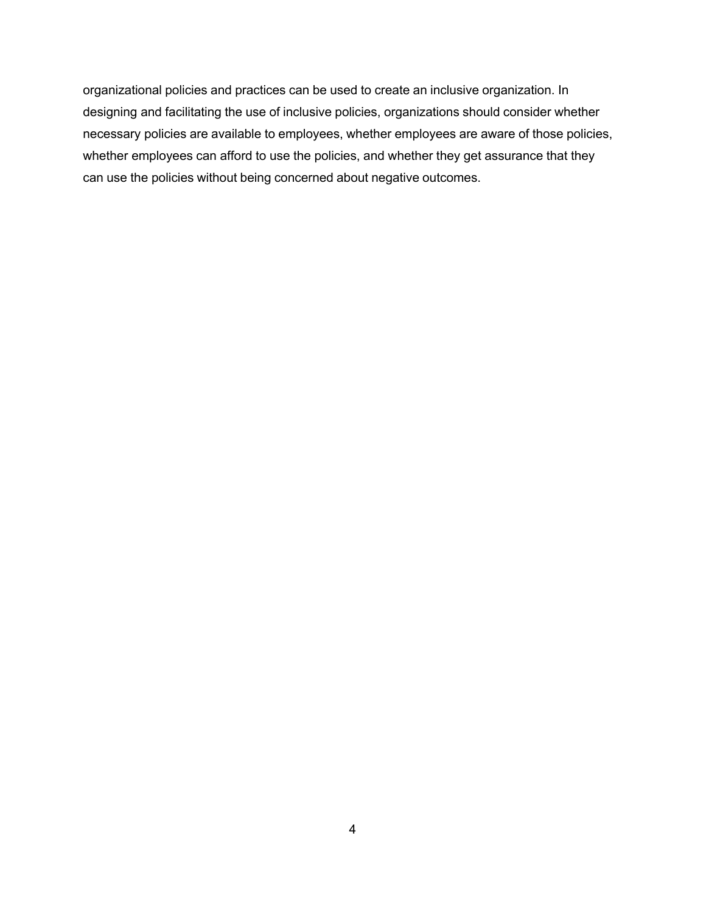organizational policies and practices can be used to create an inclusive organization. In designing and facilitating the use of inclusive policies, organizations should consider whether necessary policies are available to employees, whether employees are aware of those policies, whether employees can afford to use the policies, and whether they get assurance that they can use the policies without being concerned about negative outcomes.